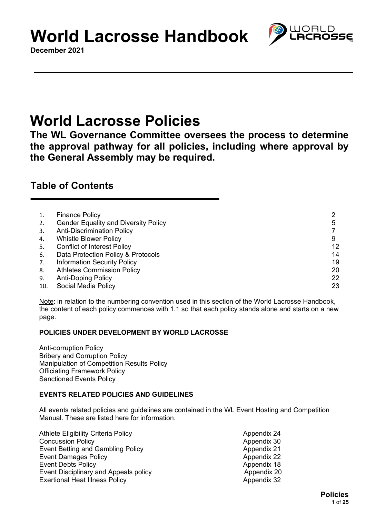**December 2021**

## **World Lacrosse Policies**

**The WL Governance Committee oversees the process to determine the approval pathway for all policies, including where approval by the General Assembly may be required.**

## **Table of Contents**

|     | <b>Finance Policy</b>                       |    |
|-----|---------------------------------------------|----|
| 2.  | <b>Gender Equality and Diversity Policy</b> | 5  |
| 3.  | <b>Anti-Discrimination Policy</b>           |    |
| 4.  | <b>Whistle Blower Policy</b>                |    |
| 5.  | <b>Conflict of Interest Policy</b>          | 12 |
| 6.  | Data Protection Policy & Protocols          | 14 |
| 7.  | <b>Information Security Policy</b>          | 19 |
| 8.  | <b>Athletes Commission Policy</b>           | 20 |
| 9.  | <b>Anti-Doping Policy</b>                   | 22 |
| 10. | Social Media Policy                         | 23 |

Note: in relation to the numbering convention used in this section of the World Lacrosse Handbook, the content of each policy commences with 1.1 so that each policy stands alone and starts on a new page.

## **POLICIES UNDER DEVELOPMENT BY WORLD LACROSSE**

Anti-corruption Policy Bribery and Corruption Policy Manipulation of Competition Results Policy Officiating Framework Policy Sanctioned Events Policy

## **EVENTS RELATED POLICIES AND GUIDELINES**

All events related policies and guidelines are contained in the WL Event Hosting and Competition Manual. These are listed here for information.

| <b>Athlete Eligibility Criteria Policy</b> | Appendix 24 |
|--------------------------------------------|-------------|
| <b>Concussion Policy</b>                   | Appendix 30 |
| Event Betting and Gambling Policy          | Appendix 21 |
| <b>Event Damages Policy</b>                | Appendix 22 |
| <b>Event Debts Policy</b>                  | Appendix 18 |
| Event Disciplinary and Appeals policy      | Appendix 20 |
| <b>Exertional Heat Illness Policy</b>      | Appendix 32 |

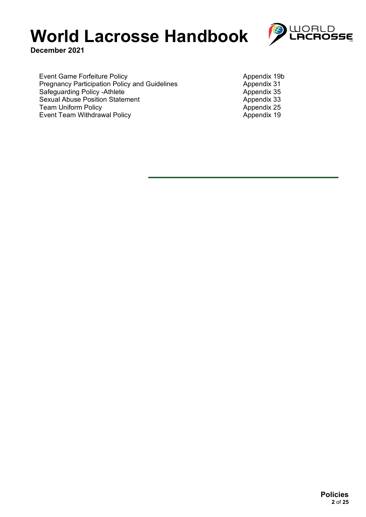

**December 2021**

Event Game Forfeiture Policy<br>
Pregnancy Participation Policy and Guidelines<br>
Appendix 31 Pregnancy Participation Policy and Guidelines \_\_\_\_\_\_\_\_\_\_\_\_\_\_\_\_\_\_\_\_\_Appendix 31 Safeguarding Policy -Athlete Appendix 35 Sexual Abuse Position Statement<br>
Team Uniform Policy<br>
Team Uniform Policy Team Uniform Policy<br>
Event Team Withdrawal Policy<br>
Appendix 19 Event Team Withdrawal Policy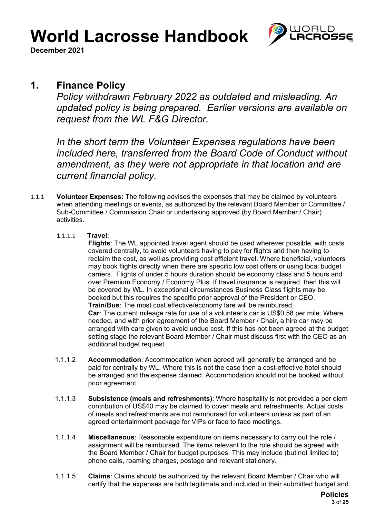

**December 2021**

## **1. Finance Policy**

*Policy withdrawn February 2022 as outdated and misleading. An updated policy is being prepared. Earlier versions are available on request from the WL F&G Director.*

*In the short term the Volunteer Expenses regulations have been included here, transferred from the Board Code of Conduct without amendment, as they were not appropriate in that location and are current financial policy.*

- 1.1.1 **Volunteer Expenses:** The following advises the expenses that may be claimed by volunteers when attending meetings or events, as authorized by the relevant Board Member or Committee / Sub-Committee / Commission Chair or undertaking approved (by Board Member / Chair) activities.
	- 1.1.1.1 **Travel**:

**Flights**: The WL appointed travel agent should be used wherever possible, with costs covered centrally, to avoid volunteers having to pay for flights and then having to reclaim the cost, as well as providing cost efficient travel. Where beneficial, volunteers may book flights directly when there are specific low cost offers or using local budget carriers. Flights of under 5 hours duration should be economy class and 5 hours and over Premium Economy / Economy Plus. If travel insurance is required, then this will be covered by WL. In exceptional circumstances Business Class flights may be booked but this requires the specific prior approval of the President or CEO. **Train/Bus**: The most cost effective/economy fare will be reimbursed. **Car**: The current mileage rate for use of a volunteer's car is US\$0.58 per mile. Where needed, and with prior agreement of the Board Member / Chair, a hire car may be arranged with care given to avoid undue cost. If this has not been agreed at the budget setting stage the relevant Board Member / Chair must discuss first with the CEO as an additional budget request.

- 1.1.1.2 **Accommodation**: Accommodation when agreed will generally be arranged and be paid for centrally by WL. Where this is not the case then a cost-effective hotel should be arranged and the expense claimed. Accommodation should not be booked without prior agreement.
- 1.1.1.3 **Subsistence (meals and refreshments)**: Where hospitality is not provided a per diem contribution of US\$40 may be claimed to cover meals and refreshments. Actual costs of meals and refreshments are not reimbursed for volunteers unless as part of an agreed entertainment package for VIPs or face to face meetings.
- 1.1.1.4 **Miscellaneous**: Reasonable expenditure on items necessary to carry out the role / assignment will be reimbursed. The items relevant to the role should be agreed with the Board Member / Chair for budget purposes. This may include (but not limited to) phone calls, roaming charges, postage and relevant stationery.
- 1.1.1.5 **Claims**: Claims should be authorized by the relevant Board Member / Chair who will certify that the expenses are both legitimate and included in their submitted budget and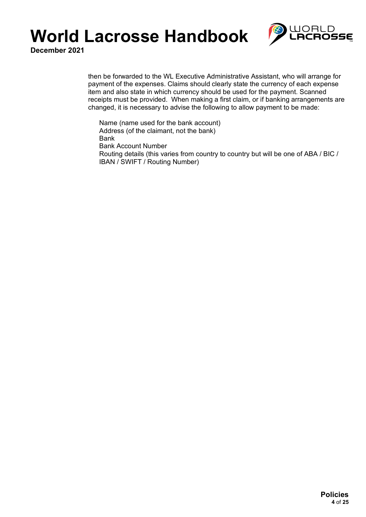

**December 2021**

then be forwarded to the WL Executive Administrative Assistant, who will arrange for payment of the expenses. Claims should clearly state the currency of each expense item and also state in which currency should be used for the payment. Scanned receipts must be provided. When making a first claim, or if banking arrangements are changed, it is necessary to advise the following to allow payment to be made:

Name (name used for the bank account) Address (of the claimant, not the bank) Bank Bank Account Number Routing details (this varies from country to country but will be one of ABA / BIC / IBAN / SWIFT / Routing Number)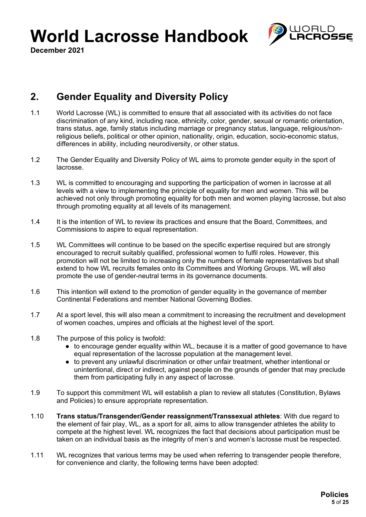

**December 2021**

## **2. Gender Equality and Diversity Policy**

- 1.1 World Lacrosse (WL) is committed to ensure that all associated with its activities do not face discrimination of any kind, including race, ethnicity, color, gender, sexual or romantic orientation, trans status, age, family status including marriage or pregnancy status, language, religious/nonreligious beliefs, political or other opinion, nationality, origin, education, socio-economic status, differences in ability, including neurodiversity, or other status.
- 1.2 The Gender Equality and Diversity Policy of WL aims to promote gender equity in the sport of lacrosse.
- 1.3 WL is committed to encouraging and supporting the participation of women in lacrosse at all levels with a view to implementing the principle of equality for men and women. This will be achieved not only through promoting equality for both men and women playing lacrosse, but also through promoting equality at all levels of its management.
- 1.4 It is the intention of WL to review its practices and ensure that the Board, Committees, and Commissions to aspire to equal representation.
- 1.5 WL Committees will continue to be based on the specific expertise required but are strongly encouraged to recruit suitably qualified, professional women to fulfil roles. However, this promotion will not be limited to increasing only the numbers of female representatives but shall extend to how WL recruits females onto its Committees and Working Groups. WL will also promote the use of gender-neutral terms in its governance documents.
- 1.6 This intention will extend to the promotion of gender equality in the governance of member Continental Federations and member National Governing Bodies.
- 1.7 At a sport level, this will also mean a commitment to increasing the recruitment and development of women coaches, umpires and officials at the highest level of the sport.
- 1.8 The purpose of this policy is twofold:
	- to encourage gender equality within WL, because it is a matter of good governance to have equal representation of the lacrosse population at the management level.
	- to prevent any unlawful discrimination or other unfair treatment, whether intentional or unintentional, direct or indirect, against people on the grounds of gender that may preclude them from participating fully in any aspect of lacrosse.
- 1.9 To support this commitment WL will establish a plan to review all statutes (Constitution, Bylaws and Policies) to ensure appropriate representation.
- 1.10 **Trans status/Transgender/Gender reassignment/Transsexual athletes**: With due regard to the element of fair play, WL, as a sport for all, aims to allow transgender athletes the ability to compete at the highest level. WL recognizes the fact that decisions about participation must be taken on an individual basis as the integrity of men's and women's lacrosse must be respected.
- 1.11 WL recognizes that various terms may be used when referring to transgender people therefore, for convenience and clarity, the following terms have been adopted: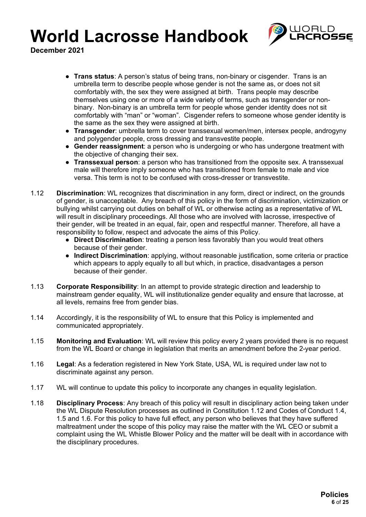

- **Trans status**: A person's status of being trans, non-binary or cisgender. Trans is an umbrella term to describe people whose gender is not the same as, or does not sit comfortably with, the sex they were assigned at birth. Trans people may describe themselves using one or more of a wide variety of terms, such as transgender or nonbinary. Non-binary is an umbrella term for people whose gender identity does not sit comfortably with "man" or "woman". Cisgender refers to someone whose gender identity is the same as the sex they were assigned at birth.
- **Transgender**: umbrella term to cover transsexual women/men, intersex people, androgyny and polygender people, cross dressing and transvestite people.
- **Gender reassignment**: a person who is undergoing or who has undergone treatment with the objective of changing their sex.
- **Transsexual person**: a person who has transitioned from the opposite sex. A transsexual male will therefore imply someone who has transitioned from female to male and vice versa. This term is not to be confused with cross-dresser or transvestite.
- 1.12 **Discrimination**: WL recognizes that discrimination in any form, direct or indirect, on the grounds of gender, is unacceptable. Any breach of this policy in the form of discrimination, victimization or bullying whilst carrying out duties on behalf of WL or otherwise acting as a representative of WL will result in disciplinary proceedings. All those who are involved with lacrosse, irrespective of their gender, will be treated in an equal, fair, open and respectful manner. Therefore, all have a responsibility to follow, respect and advocate the aims of this Policy.
	- **Direct Discrimination**: treating a person less favorably than you would treat others because of their gender.
	- **Indirect Discrimination**: applying, without reasonable justification, some criteria or practice which appears to apply equally to all but which, in practice, disadvantages a person because of their gender.
- 1.13 **Corporate Responsibility**: In an attempt to provide strategic direction and leadership to mainstream gender equality, WL will institutionalize gender equality and ensure that lacrosse, at all levels, remains free from gender bias.
- 1.14 Accordingly, it is the responsibility of WL to ensure that this Policy is implemented and communicated appropriately.
- 1.15 **Monitoring and Evaluation**: WL will review this policy every 2 years provided there is no request from the WL Board or change in legislation that merits an amendment before the 2-year period.
- 1.16 **Legal**: As a federation registered in New York State, USA, WL is required under law not to discriminate against any person.
- 1.17 WL will continue to update this policy to incorporate any changes in equality legislation.
- 1.18 **Disciplinary Process**: Any breach of this policy will result in disciplinary action being taken under the WL Dispute Resolution processes as outlined in Constitution 1.12 and Codes of Conduct 1.4, 1.5 and 1.6. For this policy to have full effect, any person who believes that they have suffered maltreatment under the scope of this policy may raise the matter with the WL CEO or submit a complaint using the WL Whistle Blower Policy and the matter will be dealt with in accordance with the disciplinary procedures.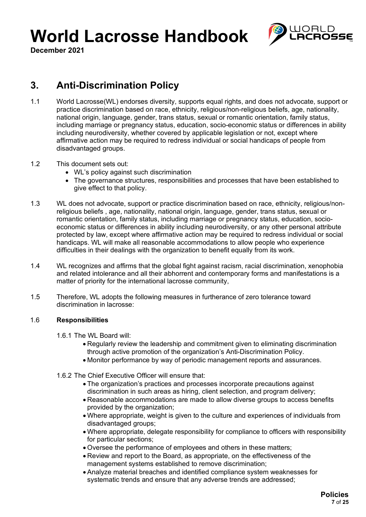

**December 2021**

## **3. Anti-Discrimination Policy**

- 1.1 World Lacrosse(WL) endorses diversity, supports equal rights, and does not advocate, support or practice discrimination based on race, ethnicity, religious/non-religious beliefs, age, nationality, national origin, language, gender, trans status, sexual or romantic orientation, family status, including marriage or pregnancy status, education, socio-economic status or differences in ability including neurodiversity, whether covered by applicable legislation or not, except where affirmative action may be required to redress individual or social handicaps of people from disadvantaged groups.
- 1.2 This document sets out:
	- WL's policy against such discrimination
	- The governance structures, responsibilities and processes that have been established to give effect to that policy.
- 1.3 WL does not advocate, support or practice discrimination based on race, ethnicity, religious/nonreligious beliefs , age, nationality, national origin, language, gender, trans status, sexual or romantic orientation, family status, including marriage or pregnancy status, education, socioeconomic status or differences in ability including neurodiversity, or any other personal attribute protected by law, except where affirmative action may be required to redress individual or social handicaps. WL will make all reasonable accommodations to allow people who experience difficulties in their dealings with the organization to benefit equally from its work.
- 1.4 WL recognizes and affirms that the global fight against racism, racial discrimination, xenophobia and related intolerance and all their abhorrent and contemporary forms and manifestations is a matter of priority for the international lacrosse community,
- 1.5 Therefore, WL adopts the following measures in furtherance of zero tolerance toward discrimination in lacrosse:

### 1.6 **Responsibilities**

- 1.6.1 The WL Board will:
	- Regularly review the leadership and commitment given to eliminating discrimination through active promotion of the organization's Anti-Discrimination Policy.
	- Monitor performance by way of periodic management reports and assurances.
- 1.6.2 The Chief Executive Officer will ensure that:
	- The organization's practices and processes incorporate precautions against discrimination in such areas as hiring, client selection, and program delivery;
	- Reasonable accommodations are made to allow diverse groups to access benefits provided by the organization;
	- Where appropriate, weight is given to the culture and experiences of individuals from disadvantaged groups;
	- Where appropriate, delegate responsibility for compliance to officers with responsibility for particular sections;
	- Oversee the performance of employees and others in these matters;
	- Review and report to the Board, as appropriate, on the effectiveness of the management systems established to remove discrimination;
	- Analyze material breaches and identified compliance system weaknesses for systematic trends and ensure that any adverse trends are addressed;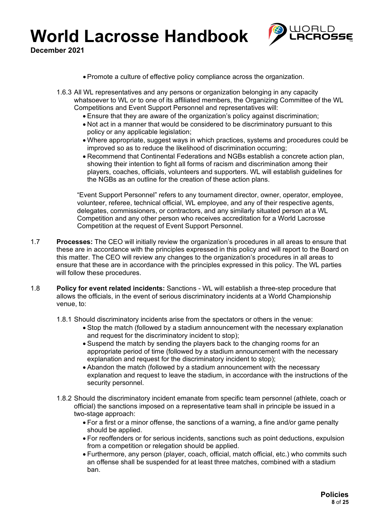

**December 2021**

- Promote a culture of effective policy compliance across the organization.
- 1.6.3 All WL representatives and any persons or organization belonging in any capacity whatsoever to WL or to one of its affiliated members, the Organizing Committee of the WL Competitions and Event Support Personnel and representatives will:
	- Ensure that they are aware of the organization's policy against discrimination;
	- Not act in a manner that would be considered to be discriminatory pursuant to this policy or any applicable legislation;
	- Where appropriate, suggest ways in which practices, systems and procedures could be improved so as to reduce the likelihood of discrimination occurring;
	- Recommend that Continental Federations and NGBs establish a concrete action plan, showing their intention to fight all forms of racism and discrimination among their players, coaches, officials, volunteers and supporters. WL will establish guidelines for the NGBs as an outline for the creation of these action plans.

"Event Support Personnel" refers to any tournament director, owner, operator, employee, volunteer, referee, technical official, WL employee, and any of their respective agents, delegates, commissioners, or contractors, and any similarly situated person at a WL Competition and any other person who receives accreditation for a World Lacrosse Competition at the request of Event Support Personnel.

- 1.7 **Processes:** The CEO will initially review the organization's procedures in all areas to ensure that these are in accordance with the principles expressed in this policy and will report to the Board on this matter. The CEO will review any changes to the organization's procedures in all areas to ensure that these are in accordance with the principles expressed in this policy. The WL parties will follow these procedures.
- 1.8 **Policy for event related incidents:** Sanctions WL will establish a three-step procedure that allows the officials, in the event of serious discriminatory incidents at a World Championship venue, to:

1.8.1 Should discriminatory incidents arise from the spectators or others in the venue:

- Stop the match (followed by a stadium announcement with the necessary explanation and request for the discriminatory incident to stop);
- Suspend the match by sending the players back to the changing rooms for an appropriate period of time (followed by a stadium announcement with the necessary explanation and request for the discriminatory incident to stop);
- Abandon the match (followed by a stadium announcement with the necessary explanation and request to leave the stadium, in accordance with the instructions of the security personnel.
- 1.8.2 Should the discriminatory incident emanate from specific team personnel (athlete, coach or official) the sanctions imposed on a representative team shall in principle be issued in a two-stage approach:
	- For a first or a minor offense, the sanctions of a warning, a fine and/or game penalty should be applied.
	- For reoffenders or for serious incidents, sanctions such as point deductions, expulsion from a competition or relegation should be applied.
	- Furthermore, any person (player, coach, official, match official, etc.) who commits such an offense shall be suspended for at least three matches, combined with a stadium ban.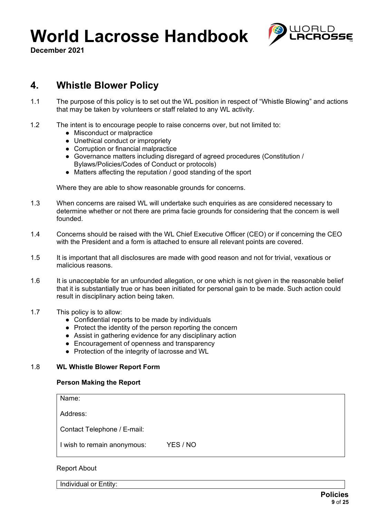

**December 2021**

## **4. Whistle Blower Policy**

- 1.1 The purpose of this policy is to set out the WL position in respect of "Whistle Blowing" and actions that may be taken by volunteers or staff related to any WL activity.
- 1.2 The intent is to encourage people to raise concerns over, but not limited to:
	- Misconduct or malpractice
	- Unethical conduct or impropriety
	- Corruption or financial malpractice
	- Governance matters including disregard of agreed procedures (Constitution / Bylaws/Policies/Codes of Conduct or protocols)
	- Matters affecting the reputation / good standing of the sport

Where they are able to show reasonable grounds for concerns.

- 1.3 When concerns are raised WL will undertake such enquiries as are considered necessary to determine whether or not there are prima facie grounds for considering that the concern is well founded.
- 1.4 Concerns should be raised with the WL Chief Executive Officer (CEO) or if concerning the CEO with the President and a form is attached to ensure all relevant points are covered.
- 1.5 It is important that all disclosures are made with good reason and not for trivial, vexatious or malicious reasons.
- 1.6 It is unacceptable for an unfounded allegation, or one which is not given in the reasonable belief that it is substantially true or has been initiated for personal gain to be made. Such action could result in disciplinary action being taken.
- 1.7 This policy is to allow:
	- Confidential reports to be made by individuals
	- Protect the identity of the person reporting the concern
	- Assist in gathering evidence for any disciplinary action
	- Encouragement of openness and transparency
	- Protection of the integrity of lacrosse and WL

### 1.8 **WL Whistle Blower Report Form**

### **Person Making the Report**

Name:

Address:

Contact Telephone / E-mail:

I wish to remain anonymous: YES / NO

### Report About

Individual or Entity: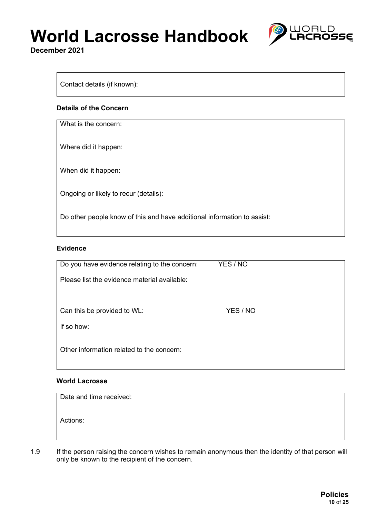**December 2021**



### Contact details (if known):

#### **Details of the Concern**

What is the concern:

Where did it happen:

When did it happen:

Ongoing or likely to recur (details):

Do other people know of this and have additional information to assist:

#### **Evidence**

| Do you have evidence relating to the concern: | YES / NO |  |
|-----------------------------------------------|----------|--|
| Please list the evidence material available:  |          |  |
|                                               |          |  |
| Can this be provided to WL:                   | YES / NO |  |
| If so how:                                    |          |  |
|                                               |          |  |
| Other information related to the concern:     |          |  |

#### **World Lacrosse**

| Date and time received: |  |  |
|-------------------------|--|--|
| Actions:                |  |  |

1.9 If the person raising the concern wishes to remain anonymous then the identity of that person will only be known to the recipient of the concern.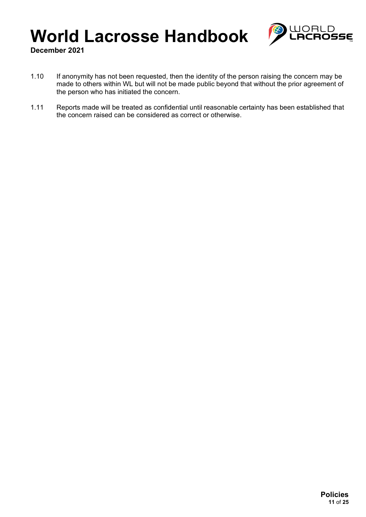

- 1.10 If anonymity has not been requested, then the identity of the person raising the concern may be made to others within WL but will not be made public beyond that without the prior agreement of the person who has initiated the concern.
- 1.11 Reports made will be treated as confidential until reasonable certainty has been established that the concern raised can be considered as correct or otherwise.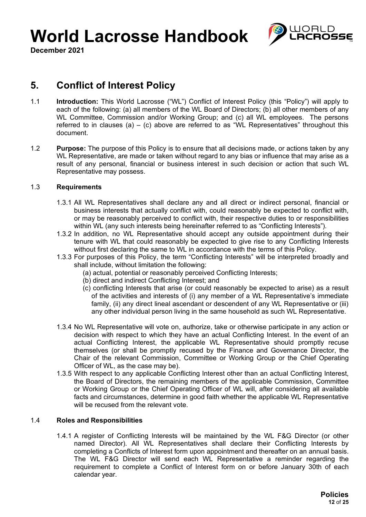

**December 2021**

## **5. Conflict of Interest Policy**

- 1.1 **Introduction:** This World Lacrosse ("WL") Conflict of Interest Policy (this "Policy") will apply to each of the following: (a) all members of the WL Board of Directors; (b) all other members of any WL Committee, Commission and/or Working Group; and (c) all WL employees. The persons referred to in clauses (a) – (c) above are referred to as "WL Representatives" throughout this document.
- 1.2 **Purpose:** The purpose of this Policy is to ensure that all decisions made, or actions taken by any WL Representative, are made or taken without regard to any bias or influence that may arise as a result of any personal, financial or business interest in such decision or action that such WL Representative may possess.

### 1.3 **Requirements**

- 1.3.1 All WL Representatives shall declare any and all direct or indirect personal, financial or business interests that actually conflict with, could reasonably be expected to conflict with, or may be reasonably perceived to conflict with, their respective duties to or responsibilities within WL (any such interests being hereinafter referred to as "Conflicting Interests").
- 1.3.2 In addition, no WL Representative should accept any outside appointment during their tenure with WL that could reasonably be expected to give rise to any Conflicting Interests without first declaring the same to WL in accordance with the terms of this Policy.
- 1.3.3 For purposes of this Policy, the term "Conflicting Interests" will be interpreted broadly and shall include, without limitation the following:
	- (a) actual, potential or reasonably perceived Conflicting Interests;
	- (b) direct and indirect Conflicting Interest; and
	- (c) conflicting Interests that arise (or could reasonably be expected to arise) as a result of the activities and interests of (i) any member of a WL Representative's immediate family, (ii) any direct lineal ascendant or descendent of any WL Representative or (iii) any other individual person living in the same household as such WL Representative.
- 1.3.4 No WL Representative will vote on, authorize, take or otherwise participate in any action or decision with respect to which they have an actual Conflicting Interest. In the event of an actual Conflicting Interest, the applicable WL Representative should promptly recuse themselves (or shall be promptly recused by the Finance and Governance Director, the Chair of the relevant Commission, Committee or Working Group or the Chief Operating Officer of WL, as the case may be).
- 1.3.5 With respect to any applicable Conflicting Interest other than an actual Conflicting Interest, the Board of Directors, the remaining members of the applicable Commission, Committee or Working Group or the Chief Operating Officer of WL will, after considering all available facts and circumstances, determine in good faith whether the applicable WL Representative will be recused from the relevant vote.

### 1.4 **Roles and Responsibilities**

1.4.1 A register of Conflicting Interests will be maintained by the WL F&G Director (or other named Director). All WL Representatives shall declare their Conflicting Interests by completing a Conflicts of Interest form upon appointment and thereafter on an annual basis. The WL F&G Director will send each WL Representative a reminder regarding the requirement to complete a Conflict of Interest form on or before January 30th of each calendar year.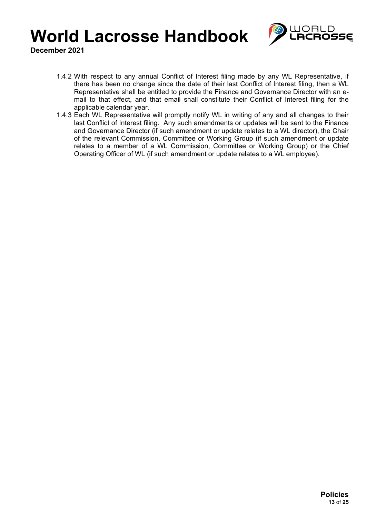

- 1.4.2 With respect to any annual Conflict of Interest filing made by any WL Representative, if there has been no change since the date of their last Conflict of Interest filing, then a WL Representative shall be entitled to provide the Finance and Governance Director with an email to that effect, and that email shall constitute their Conflict of Interest filing for the applicable calendar year.
- 1.4.3 Each WL Representative will promptly notify WL in writing of any and all changes to their last Conflict of Interest filing. Any such amendments or updates will be sent to the Finance and Governance Director (if such amendment or update relates to a WL director), the Chair of the relevant Commission, Committee or Working Group (if such amendment or update relates to a member of a WL Commission, Committee or Working Group) or the Chief Operating Officer of WL (if such amendment or update relates to a WL employee).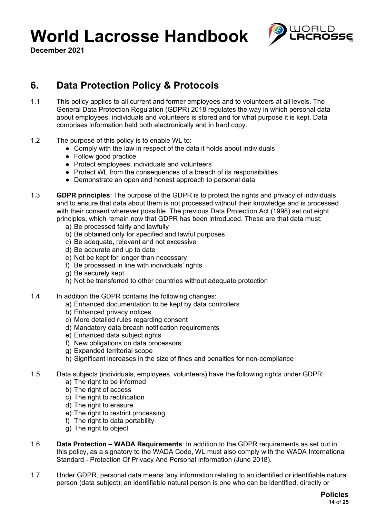



## **6. Data Protection Policy & Protocols**

- 1.1 This policy applies to all current and former employees and to volunteers at all levels. The General Data Protection Regulation (GDPR) 2018 regulates the way in which personal data about employees, individuals and volunteers is stored and for what purpose it is kept. Data comprises information held both electronically and in hard copy.
- 1.2 The purpose of this policy is to enable WL to:
	- Comply with the law in respect of the data it holds about individuals
	- Follow good practice
	- Protect employees, individuals and volunteers
	- Protect WL from the consequences of a breach of its responsibilities
	- Demonstrate an open and honest approach to personal data
- 1.3 **GDPR principles**: The purpose of the GDPR is to protect the rights and privacy of individuals and to ensure that data about them is not processed without their knowledge and is processed with their consent wherever possible. The previous Data Protection Act (1998) set out eight principles, which remain now that GDPR has been introduced. These are that data must:
	- a) Be processed fairly and lawfully
	- b) Be obtained only for specified and lawful purposes
	- c) Be adequate, relevant and not excessive
	- d) Be accurate and up to date
	- e) Not be kept for longer than necessary
	- f) Be processed in line with individuals' rights
	- g) Be securely kept
	- h) Not be transferred to other countries without adequate protection
- 1.4 In addition the GDPR contains the following changes:
	- a) Enhanced documentation to be kept by data controllers
	- b) Enhanced privacy notices
	- c) More detailed rules regarding consent
	- d) Mandatory data breach notification requirements
	- e) Enhanced data subject rights
	- f) New obligations on data processors
	- g) Expanded territorial scope
	- h) Significant increases in the size of fines and penalties for non-compliance

1.5 Data subjects (individuals, employees, volunteers) have the following rights under GDPR:

- a) The right to be informed
- b) The right of access
- c) The right to rectification
- d) The right to erasure
- e) The right to restrict processing
- f) The right to data portability
- g) The right to object
- 1.6 **Data Protection – WADA Requirements**: In addition to the GDPR requirements as set out in this policy, as a signatory to the WADA Code, WL must also comply with the WADA International Standard - Protection Of Privacy And Personal Information (June 2018).
- 1.7 Under GDPR, personal data means 'any information relating to an identified or identifiable natural person (data subject); an identifiable natural person is one who can be identified, directly or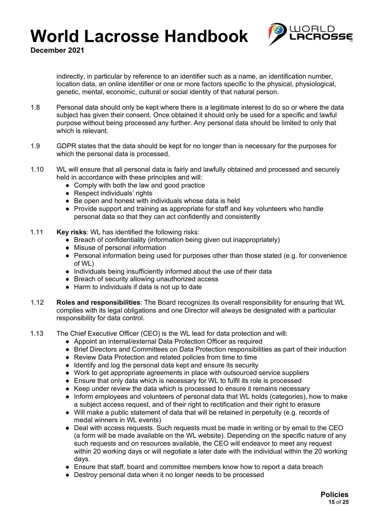

**December 2021**

indirectly, in particular by reference to an identifier such as a name, an identification number, location data, an online identifier or one or more factors specific to the physical, physiological, genetic, mental, economic, cultural or social identity of that natural person.

- 1.8 Personal data should only be kept where there is a legitimate interest to do so or where the data subject has given their consent. Once obtained it should only be used for a specific and lawful purpose without being processed any further. Any personal data should be limited to only that which is relevant.
- 1.9 GDPR states that the data should be kept for no longer than is necessary for the purposes for which the personal data is processed.
- 1.10 WL will ensure that all personal data is fairly and lawfully obtained and processed and securely held in accordance with these principles and will:
	- Comply with both the law and good practice
	- Respect individuals' rights
	- Be open and honest with individuals whose data is held
	- Provide support and training as appropriate for staff and key volunteers who handle personal data so that they can act confidently and consistently
- 1.11 **Key risks**: WL has identified the following risks:
	- Breach of confidentiality (information being given out inappropriately)
	- Misuse of personal information
	- Personal information being used for purposes other than those stated (e.g. for convenience of WL)
	- Individuals being insufficiently informed about the use of their data
	- Breach of security allowing unauthorized access
	- Harm to individuals if data is not up to date
- 1.12 **Roles and responsibilities**: The Board recognizes its overall responsibility for ensuring that WL complies with its legal obligations and one Director will always be designated with a particular responsibility for data control.
- 1.13 The Chief Executive Officer (CEO) is the WL lead for data protection and will:
	- Appoint an internal/external Data Protection Officer as required
	- Brief Directors and Committees on Data Protection responsibilities as part of their induction
	- Review Data Protection and related policies from time to time
	- Identify and log the personal data kept and ensure its security
	- Work to get appropriate agreements in place with outsourced service suppliers
	- Ensure that only data which is necessary for WL to fulfil its role is processed
	- Keep under review the data which is processed to ensure it remains necessary
	- Inform employees and volunteers of personal data that WL holds (categories), how to make a subject access request, and of their right to rectification and their right to erasure
	- Will make a public statement of data that will be retained in perpetuity (e.g. records of medal winners in WL events)
	- Deal with access requests. Such requests must be made in writing or by email to the CEO (a form will be made available on the WL website). Depending on the specific nature of any such requests and on resources available, the CEO will endeavor to meet any request within 20 working days or will negotiate a later date with the individual within the 20 working days.
	- Ensure that staff, board and committee members know how to report a data breach
	- Destroy personal data when it no longer needs to be processed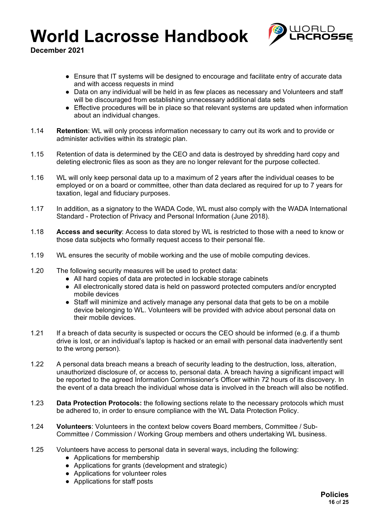

- Ensure that IT systems will be designed to encourage and facilitate entry of accurate data and with access requests in mind
- Data on any individual will be held in as few places as necessary and Volunteers and staff will be discouraged from establishing unnecessary additional data sets
- Effective procedures will be in place so that relevant systems are updated when information about an individual changes.
- 1.14 **Retention**: WL will only process information necessary to carry out its work and to provide or administer activities within its strategic plan.
- 1.15 Retention of data is determined by the CEO and data is destroyed by shredding hard copy and deleting electronic files as soon as they are no longer relevant for the purpose collected.
- 1.16 WL will only keep personal data up to a maximum of 2 years after the individual ceases to be employed or on a board or committee, other than data declared as required for up to 7 years for taxation, legal and fiduciary purposes.
- 1.17 In addition, as a signatory to the WADA Code, WL must also comply with the WADA International Standard - Protection of Privacy and Personal Information (June 2018).
- 1.18 **Access and security**: Access to data stored by WL is restricted to those with a need to know or those data subjects who formally request access to their personal file.
- 1.19 WL ensures the security of mobile working and the use of mobile computing devices.
- 1.20 The following security measures will be used to protect data:
	- All hard copies of data are protected in lockable storage cabinets
	- All electronically stored data is held on password protected computers and/or encrypted mobile devices
	- Staff will minimize and actively manage any personal data that gets to be on a mobile device belonging to WL. Volunteers will be provided with advice about personal data on their mobile devices.
- 1.21 If a breach of data security is suspected or occurs the CEO should be informed (e.g. if a thumb drive is lost, or an individual's laptop is hacked or an email with personal data inadvertently sent to the wrong person).
- 1.22 A personal data breach means a breach of security leading to the destruction, loss, alteration, unauthorized disclosure of, or access to, personal data. A breach having a significant impact will be reported to the agreed Information Commissioner's Officer within 72 hours of its discovery. In the event of a data breach the individual whose data is involved in the breach will also be notified.
- 1.23 **Data Protection Protocols:** the following sections relate to the necessary protocols which must be adhered to, in order to ensure compliance with the WL Data Protection Policy.
- 1.24 **Volunteers**: Volunteers in the context below covers Board members, Committee / Sub-Committee / Commission / Working Group members and others undertaking WL business.
- 1.25 Volunteers have access to personal data in several ways, including the following:
	- Applications for membership
	- Applications for grants (development and strategic)
	- Applications for volunteer roles
	- Applications for staff posts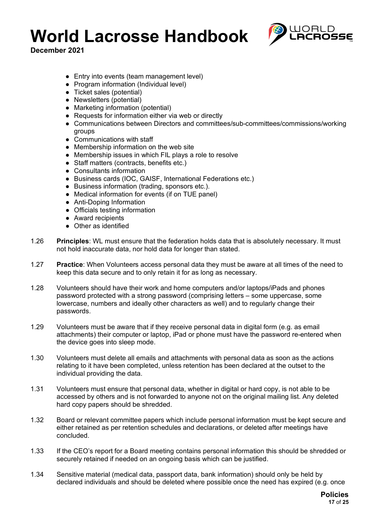

- Entry into events (team management level)
- Program information (Individual level)
- Ticket sales (potential)
- Newsletters (potential)
- Marketing information (potential)
- Requests for information either via web or directly
- Communications between Directors and committees/sub-committees/commissions/working groups
- Communications with staff
- Membership information on the web site
- Membership issues in which FIL plays a role to resolve
- Staff matters (contracts, benefits etc.)
- Consultants information
- Business cards (IOC, GAISF, International Federations etc.)
- Business information (trading, sponsors etc.).
- Medical information for events (if on TUE panel)
- Anti-Doping Information
- Officials testing information
- Award recipients
- Other as identified
- 1.26 **Principles**: WL must ensure that the federation holds data that is absolutely necessary. It must not hold inaccurate data, nor hold data for longer than stated.
- 1.27 **Practice**: When Volunteers access personal data they must be aware at all times of the need to keep this data secure and to only retain it for as long as necessary.
- 1.28 Volunteers should have their work and home computers and/or laptops/iPads and phones password protected with a strong password (comprising letters – some uppercase, some lowercase, numbers and ideally other characters as well) and to regularly change their passwords.
- 1.29 Volunteers must be aware that if they receive personal data in digital form (e.g. as email attachments) their computer or laptop, iPad or phone must have the password re-entered when the device goes into sleep mode.
- 1.30 Volunteers must delete all emails and attachments with personal data as soon as the actions relating to it have been completed, unless retention has been declared at the outset to the individual providing the data.
- 1.31 Volunteers must ensure that personal data, whether in digital or hard copy, is not able to be accessed by others and is not forwarded to anyone not on the original mailing list. Any deleted hard copy papers should be shredded.
- 1.32 Board or relevant committee papers which include personal information must be kept secure and either retained as per retention schedules and declarations, or deleted after meetings have concluded.
- 1.33 If the CEO's report for a Board meeting contains personal information this should be shredded or securely retained if needed on an ongoing basis which can be justified.
- 1.34 Sensitive material (medical data, passport data, bank information) should only be held by declared individuals and should be deleted where possible once the need has expired (e.g. once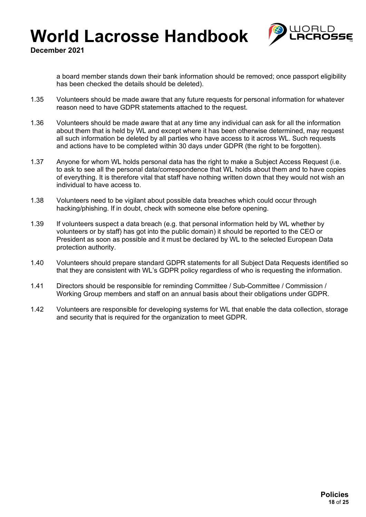

**December 2021**

a board member stands down their bank information should be removed; once passport eligibility has been checked the details should be deleted).

- 1.35 Volunteers should be made aware that any future requests for personal information for whatever reason need to have GDPR statements attached to the request.
- 1.36 Volunteers should be made aware that at any time any individual can ask for all the information about them that is held by WL and except where it has been otherwise determined, may request all such information be deleted by all parties who have access to it across WL. Such requests and actions have to be completed within 30 days under GDPR (the right to be forgotten).
- 1.37 Anyone for whom WL holds personal data has the right to make a Subject Access Request (i.e. to ask to see all the personal data/correspondence that WL holds about them and to have copies of everything. It is therefore vital that staff have nothing written down that they would not wish an individual to have access to.
- 1.38 Volunteers need to be vigilant about possible data breaches which could occur through hacking/phishing. If in doubt, check with someone else before opening.
- 1.39 If volunteers suspect a data breach (e.g. that personal information held by WL whether by volunteers or by staff) has got into the public domain) it should be reported to the CEO or President as soon as possible and it must be declared by WL to the selected European Data protection authority.
- 1.40 Volunteers should prepare standard GDPR statements for all Subject Data Requests identified so that they are consistent with WL's GDPR policy regardless of who is requesting the information.
- 1.41 Directors should be responsible for reminding Committee / Sub-Committee / Commission / Working Group members and staff on an annual basis about their obligations under GDPR.
- 1.42 Volunteers are responsible for developing systems for WL that enable the data collection, storage and security that is required for the organization to meet GDPR.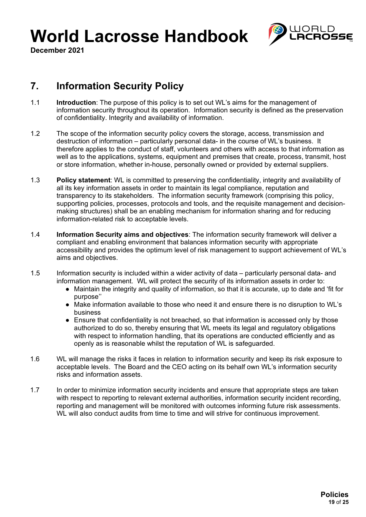

**December 2021**

## **7. Information Security Policy**

- 1.1 **Introduction**: The purpose of this policy is to set out WL's aims for the management of information security throughout its operation. Information security is defined as the preservation of confidentiality. Integrity and availability of information.
- 1.2 The scope of the information security policy covers the storage, access, transmission and destruction of information – particularly personal data- in the course of WL's business. It therefore applies to the conduct of staff, volunteers and others with access to that information as well as to the applications, systems, equipment and premises that create, process, transmit, host or store information, whether in-house, personally owned or provided by external suppliers.
- 1.3 **Policy statement**: WL is committed to preserving the confidentiality, integrity and availability of all its key information assets in order to maintain its legal compliance, reputation and transparency to its stakeholders. The information security framework (comprising this policy, supporting policies, processes, protocols and tools, and the requisite management and decisionmaking structures) shall be an enabling mechanism for information sharing and for reducing information-related risk to acceptable levels.
- 1.4 **Information Security aims and objectives**: The information security framework will deliver a compliant and enabling environment that balances information security with appropriate accessibility and provides the optimum level of risk management to support achievement of WL's aims and objectives.
- 1.5 Information security is included within a wider activity of data particularly personal data- and information management. WL will protect the security of its information assets in order to:
	- Maintain the integrity and quality of information, so that it is accurate, up to date and 'fit for purpose''
	- Make information available to those who need it and ensure there is no disruption to WL's business
	- Ensure that confidentiality is not breached, so that information is accessed only by those authorized to do so, thereby ensuring that WL meets its legal and regulatory obligations with respect to information handling, that its operations are conducted efficiently and as openly as is reasonable whilst the reputation of WL is safeguarded.
- 1.6 WL will manage the risks it faces in relation to information security and keep its risk exposure to acceptable levels. The Board and the CEO acting on its behalf own WL's information security risks and information assets.
- 1.7 In order to minimize information security incidents and ensure that appropriate steps are taken with respect to reporting to relevant external authorities, information security incident recording, reporting and management will be monitored with outcomes informing future risk assessments. WL will also conduct audits from time to time and will strive for continuous improvement.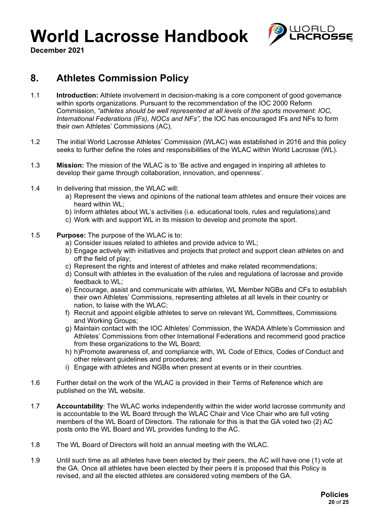

**December 2021**

## **8. Athletes Commission Policy**

- 1.1 **Introduction:** Athlete involvement in decision-making is a core component of good governance within sports organizations. Pursuant to the recommendation of the IOC 2000 Reform Commission, *"athletes should be well represented at all levels of the sports movement: IOC, International Federations (IFs), NOCs and NFs",* the IOC has encouraged IFs and NFs to form their own Athletes' Commissions (AC).
- 1.2 The initial World Lacrosse Athletes' Commission (WLAC) was established in 2016 and this policy seeks to further define the roles and responsibilities of the WLAC within World Lacrosse (WL).
- 1.3 **Mission:** The mission of the WLAC is to 'Be active and engaged in inspiring all athletes to develop their game through collaboration, innovation, and openness'.
- 1.4 In delivering that mission, the WLAC will:
	- a) Represent the views and opinions of the national team athletes and ensure their voices are heard within WL;
	- b) Inform athletes about WL's activities (i.e. educational tools, rules and regulations);and
	- c) Work with and support WL in its mission to develop and promote the sport.
- 1.5 **Purpose:** The purpose of the WLAC is to:
	- a) Consider issues related to athletes and provide advice to WL;
	- b) Engage actively with initiatives and projects that protect and support clean athletes on and off the field of play;
	- c) Represent the rights and interest of athletes and make related recommendations;
	- d) Consult with athletes in the evaluation of the rules and regulations of lacrosse and provide feedback to WL;
	- e) Encourage, assist and communicate with athletes, WL Member NGBs and CFs to establish their own Athletes' Commissions, representing athletes at all levels in their country or nation, to liaise with the WLAC;
	- f) Recruit and appoint eligible athletes to serve on relevant WL Committees, Commissions and Working Groups;
	- g) Maintain contact with the IOC Athletes' Commission, the WADA Athlete's Commission and Athletes' Commissions from other International Federations and recommend good practice from these organizations to the WL Board;
	- h) h)Promote awareness of, and compliance with, WL Code of Ethics, Codes of Conduct and other relevant guidelines and procedures; and
	- i) Engage with athletes and NGBs when present at events or in their countries.
- 1.6 Further detail on the work of the WLAC is provided in their Terms of Reference which are published on the WL website.
- 1.7 **Accountability**: The WLAC works independently within the wider world lacrosse community and is accountable to the WL Board through the WLAC Chair and Vice Chair who are full voting members of the WL Board of Directors. The rationale for this is that the GA voted two (2) AC posts onto the WL Board and WL provides funding to the AC.
- 1.8 The WL Board of Directors will hold an annual meeting with the WLAC.
- 1.9 Until such time as all athletes have been elected by their peers, the AC will have one (1) vote at the GA. Once all athletes have been elected by their peers it is proposed that this Policy is revised, and all the elected athletes are considered voting members of the GA.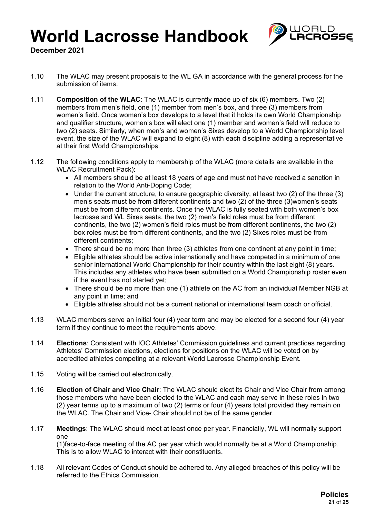

**December 2021**

- 1.10 The WLAC may present proposals to the WL GA in accordance with the general process for the submission of items.
- 1.11 **Composition of the WLAC**: The WLAC is currently made up of six (6) members. Two (2) members from men's field, one (1) member from men's box, and three (3) members from women's field. Once women's box develops to a level that it holds its own World Championship and qualifier structure, women's box will elect one (1) member and women's field will reduce to two (2) seats. Similarly, when men's and women's Sixes develop to a World Championship level event, the size of the WLAC will expand to eight (8) with each discipline adding a representative at their first World Championships.
- 1.12 The following conditions apply to membership of the WLAC (more details are available in the WLAC Recruitment Pack):
	- All members should be at least 18 years of age and must not have received a sanction in relation to the World Anti-Doping Code;
	- Under the current structure, to ensure geographic diversity, at least two (2) of the three (3) men's seats must be from different continents and two (2) of the three (3)women's seats must be from different continents. Once the WLAC is fully seated with both women's box lacrosse and WL Sixes seats, the two (2) men's field roles must be from different continents, the two (2) women's field roles must be from different continents, the two (2) box roles must be from different continents, and the two (2) Sixes roles must be from different continents;
	- There should be no more than three (3) athletes from one continent at any point in time;
	- Eligible athletes should be active internationally and have competed in a minimum of one senior international World Championship for their country within the last eight (8) years. This includes any athletes who have been submitted on a World Championship roster even if the event has not started yet;
	- There should be no more than one (1) athlete on the AC from an individual Member NGB at any point in time; and
	- Eligible athletes should not be a current national or international team coach or official.
- 1.13 WLAC members serve an initial four (4) year term and may be elected for a second four (4) year term if they continue to meet the requirements above.
- 1.14 **Elections**: Consistent with IOC Athletes' Commission guidelines and current practices regarding Athletes' Commission elections, elections for positions on the WLAC will be voted on by accredited athletes competing at a relevant World Lacrosse Championship Event.
- 1.15 Voting will be carried out electronically.
- 1.16 **Election of Chair and Vice Chair**: The WLAC should elect its Chair and Vice Chair from among those members who have been elected to the WLAC and each may serve in these roles in two (2) year terms up to a maximum of two (2) terms or four (4) years total provided they remain on the WLAC. The Chair and Vice- Chair should not be of the same gender.
- 1.17 **Meetings**: The WLAC should meet at least once per year. Financially, WL will normally support one

(1)face-to-face meeting of the AC per year which would normally be at a World Championship. This is to allow WLAC to interact with their constituents.

1.18 All relevant Codes of Conduct should be adhered to. Any alleged breaches of this policy will be referred to the Ethics Commission.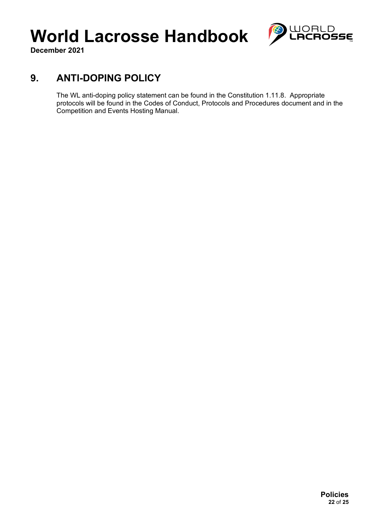

**December 2021**

## **9. ANTI-DOPING POLICY**

The WL anti-doping policy statement can be found in the Constitution 1.11.8. Appropriate protocols will be found in the Codes of Conduct, Protocols and Procedures document and in the Competition and Events Hosting Manual.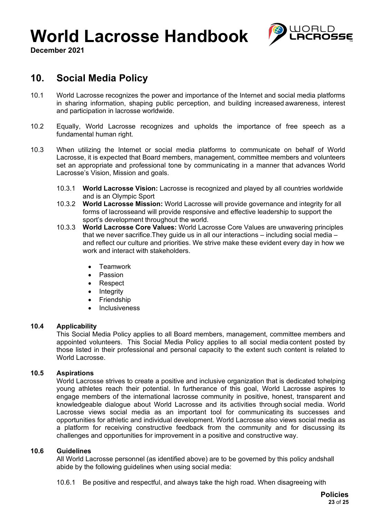

**December 2021**

## **10. Social Media Policy**

- 10.1 World Lacrosse recognizes the power and importance of the Internet and social media platforms in sharing information, shaping public perception, and building increased awareness, interest and participation in lacrosse worldwide.
- 10.2 Equally, World Lacrosse recognizes and upholds the importance of free speech as a fundamental human right.
- 10.3 When utilizing the Internet or social media platforms to communicate on behalf of World Lacrosse, it is expected that Board members, management, committee members and volunteers set an appropriate and professional tone by communicating in a manner that advances World Lacrosse's Vision, Mission and goals.
	- 10.3.1 **World Lacrosse Vision:** Lacrosse is recognized and played by all countries worldwide and is an Olympic Sport
	- 10.3.2 **World Lacrosse Mission:** World Lacrosse will provide governance and integrity for all forms of lacrosseand will provide responsive and effective leadership to support the sport's development throughout the world.
	- 10.3.3 **World Lacrosse Core Values:** World Lacrosse Core Values are unwavering principles that we never sacrifice.They guide us in all our interactions – including social media – and reflect our culture and priorities. We strive make these evident every day in how we work and interact with stakeholders.
		- Teamwork
		- Passion
		- Respect
		- **Integrity**
		- Friendship
		- Inclusiveness

### **10.4 Applicability**

This Social Media Policy applies to all Board members, management, committee members and appointed volunteers. This Social Media Policy applies to all social media content posted by those listed in their professional and personal capacity to the extent such content is related to World Lacrosse.

### **10.5 Aspirations**

World Lacrosse strives to create a positive and inclusive organization that is dedicated tohelping young athletes reach their potential. In furtherance of this goal, World Lacrosse aspires to engage members of the international lacrosse community in positive, honest, transparent and knowledgeable dialogue about World Lacrosse and its activities through social media. World Lacrosse views social media as an important tool for communicating its successes and opportunities for athletic and individual development. World Lacrosse also views social media as a platform for receiving constructive feedback from the community and for discussing its challenges and opportunities for improvement in a positive and constructive way.

### **10.6 Guidelines**

All World Lacrosse personnel (as identified above) are to be governed by this policy andshall abide by the following guidelines when using social media:

10.6.1 Be positive and respectful, and always take the high road. When disagreeing with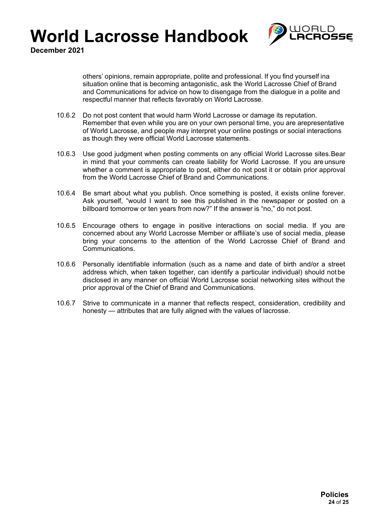

**December 2021**

others' opinions, remain appropriate, polite and professional. If you find yourself ina situation online that is becoming antagonistic, ask the World Lacrosse Chief of Brand and Communications for advice on how to disengage from the dialogue in a polite and respectful manner that reflects favorably on World Lacrosse.

- 10.6.2 Do not post content that would harm World Lacrosse or damage its reputation. Remember that even while you are on your own personal time, you are arepresentative of World Lacrosse, and people may interpret your online postings or social interactions as though they were official World Lacrosse statements.
- 10.6.3 Use good judgment when posting comments on any official World Lacrosse sites.Bear in mind that your comments can create liability for World Lacrosse. If you are unsure whether a comment is appropriate to post, either do not post it or obtain prior approval from the World Lacrosse Chief of Brand and Communications.
- 10.6.4 Be smart about what you publish. Once something is posted, it exists online forever. Ask yourself, "would I want to see this published in the newspaper or posted on a billboard tomorrow or ten years from now?" If the answer is "no," do not post.
- 10.6.5 Encourage others to engage in positive interactions on social media. If you are concerned about any World Lacrosse Member or affiliate's use of social media, please bring your concerns to the attention of the World Lacrosse Chief of Brand and Communications.
- 10.6.6 Personally identifiable information (such as a name and date of birth and/or a street address which, when taken together, can identify a particular individual) should not be disclosed in any manner on official World Lacrosse social networking sites without the prior approval of the Chief of Brand and Communications.
- 10.6.7 Strive to communicate in a manner that reflects respect, consideration, credibility and honesty — attributes that are fully aligned with the values of lacrosse.